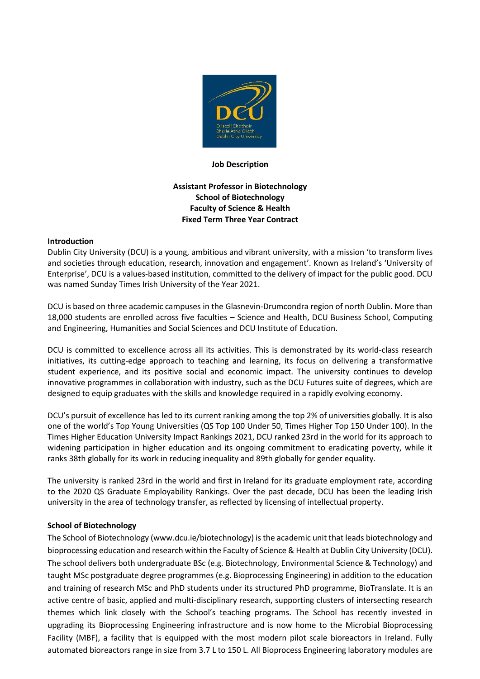

#### **Job Description**

# **Assistant Professor in Biotechnology School of Biotechnology Faculty of Science & Health Fixed Term Three Year Contract**

#### **Introduction**

Dublin City University (DCU) is a young, ambitious and vibrant university, with a mission 'to transform lives and societies through education, research, innovation and engagement'. Known as Ireland's 'University of Enterprise', DCU is a values-based institution, committed to the delivery of impact for the public good. DCU was named Sunday Times Irish University of the Year 2021.

DCU is based on three academic campuses in the Glasnevin-Drumcondra region of north Dublin. More than 18,000 students are enrolled across five faculties – Science and Health, DCU Business School, Computing and Engineering, Humanities and Social Sciences and DCU Institute of Education.

DCU is committed to excellence across all its activities. This is demonstrated by its world-class research initiatives, its cutting-edge approach to teaching and learning, its focus on delivering a transformative student experience, and its positive social and economic impact. The university continues to develop innovative programmes in collaboration with industry, such as the DCU Futures suite of degrees, which are designed to equip graduates with the skills and knowledge required in a rapidly evolving economy.

DCU's pursuit of excellence has led to its current ranking among the top 2% of universities globally. It is also one of the world's Top Young Universities (QS Top 100 Under 50, Times Higher Top 150 Under 100). In the Times Higher Education University Impact Rankings 2021, DCU ranked 23rd in the world for its approach to widening participation in higher education and its ongoing commitment to eradicating poverty, while it ranks 38th globally for its work in reducing inequality and 89th globally for gender equality.

The university is ranked 23rd in the world and first in Ireland for its graduate employment rate, according to the 2020 QS Graduate Employability Rankings. Over the past decade, DCU has been the leading Irish university in the area of technology transfer, as reflected by licensing of intellectual property.

#### **School of Biotechnology**

The School of Biotechnology (www.dcu.ie/biotechnology) is the academic unit that leads biotechnology and bioprocessing education and research within the Faculty of Science & Health at Dublin City University (DCU). The school delivers both undergraduate BSc (e.g. Biotechnology, Environmental Science & Technology) and taught MSc postgraduate degree programmes (e.g. Bioprocessing Engineering) in addition to the education and training of research MSc and PhD students under its structured PhD programme, BioTranslate. It is an active centre of basic, applied and multi-disciplinary research, supporting clusters of intersecting research themes which link closely with the School's teaching programs. The School has recently invested in upgrading its Bioprocessing Engineering infrastructure and is now home to the Microbial Bioprocessing Facility (MBF), a facility that is equipped with the most modern pilot scale bioreactors in Ireland. Fully automated bioreactors range in size from 3.7 L to 150 L. All Bioprocess Engineering laboratory modules are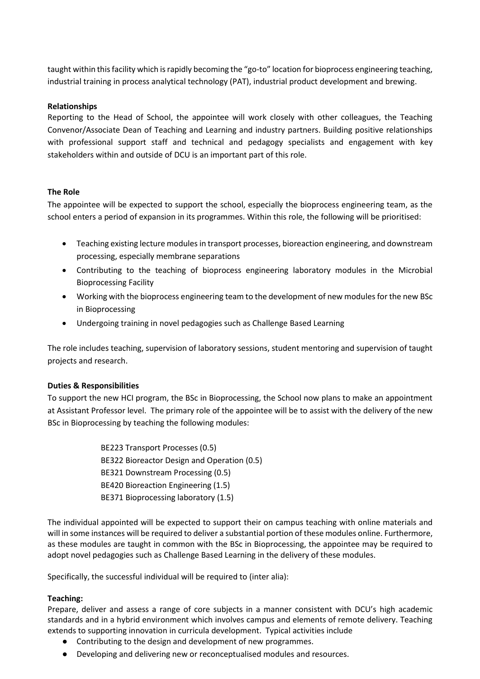taught within this facility which is rapidly becoming the "go-to" location for bioprocess engineering teaching, industrial training in process analytical technology (PAT), industrial product development and brewing.

### **Relationships**

Reporting to the Head of School, the appointee will work closely with other colleagues, the Teaching Convenor/Associate Dean of Teaching and Learning and industry partners. Building positive relationships with professional support staff and technical and pedagogy specialists and engagement with key stakeholders within and outside of DCU is an important part of this role.

## **The Role**

The appointee will be expected to support the school, especially the bioprocess engineering team, as the school enters a period of expansion in its programmes. Within this role, the following will be prioritised:

- Teaching existing lecture modules in transport processes, bioreaction engineering, and downstream processing, especially membrane separations
- Contributing to the teaching of bioprocess engineering laboratory modules in the Microbial Bioprocessing Facility
- Working with the bioprocess engineering team to the development of new modules for the new BSc in Bioprocessing
- Undergoing training in novel pedagogies such as Challenge Based Learning

The role includes teaching, supervision of laboratory sessions, student mentoring and supervision of taught projects and research.

#### **Duties & Responsibilities**

To support the new HCI program, the BSc in Bioprocessing, the School now plans to make an appointment at Assistant Professor level. The primary role of the appointee will be to assist with the delivery of the new BSc in Bioprocessing by teaching the following modules:

> BE223 Transport Processes (0.5) BE322 Bioreactor Design and Operation (0.5) BE321 Downstream Processing (0.5) BE420 Bioreaction Engineering (1.5) BE371 Bioprocessing laboratory (1.5)

The individual appointed will be expected to support their on campus teaching with online materials and will in some instances will be required to deliver a substantial portion of these modules online. Furthermore, as these modules are taught in common with the BSc in Bioprocessing, the appointee may be required to adopt novel pedagogies such as Challenge Based Learning in the delivery of these modules.

Specifically, the successful individual will be required to (inter alia):

#### **Teaching:**

Prepare, deliver and assess a range of core subjects in a manner consistent with DCU's high academic standards and in a hybrid environment which involves campus and elements of remote delivery. Teaching extends to supporting innovation in curricula development. Typical activities include

- Contributing to the design and development of new programmes.
- Developing and delivering new or reconceptualised modules and resources.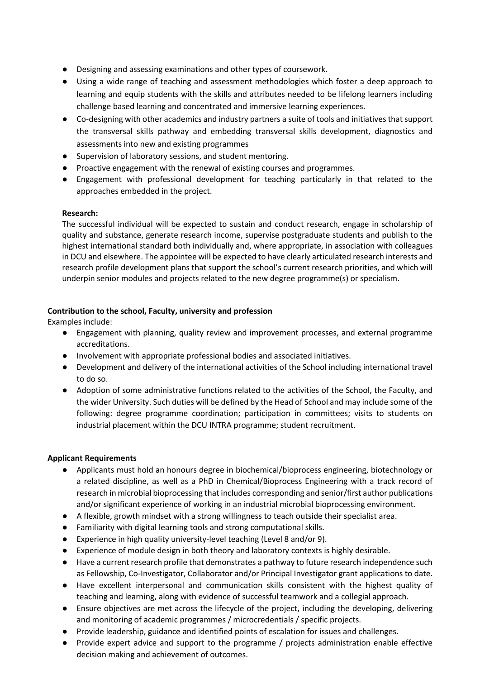- Designing and assessing examinations and other types of coursework.
- Using a wide range of teaching and assessment methodologies which foster a deep approach to learning and equip students with the skills and attributes needed to be lifelong learners including challenge based learning and concentrated and immersive learning experiences.
- Co-designing with other academics and industry partners a suite of tools and initiatives that support the transversal skills pathway and embedding transversal skills development, diagnostics and assessments into new and existing programmes
- Supervision of laboratory sessions, and student mentoring.
- Proactive engagement with the renewal of existing courses and programmes.
- Engagement with professional development for teaching particularly in that related to the approaches embedded in the project.

## **Research:**

The successful individual will be expected to sustain and conduct research, engage in scholarship of quality and substance, generate research income, supervise postgraduate students and publish to the highest international standard both individually and, where appropriate, in association with colleagues in DCU and elsewhere. The appointee will be expected to have clearly articulated research interests and research profile development plans that support the school's current research priorities, and which will underpin senior modules and projects related to the new degree programme(s) or specialism.

## **Contribution to the school, Faculty, university and profession**

Examples include:

- Engagement with planning, quality review and improvement processes, and external programme accreditations.
- Involvement with appropriate professional bodies and associated initiatives.
- Development and delivery of the international activities of the School including international travel to do so.
- Adoption of some administrative functions related to the activities of the School, the Faculty, and the wider University. Such duties will be defined by the Head of School and may include some of the following: degree programme coordination; participation in committees; visits to students on industrial placement within the DCU INTRA programme; student recruitment.

#### **Applicant Requirements**

- Applicants must hold an honours degree in biochemical/bioprocess engineering, biotechnology or a related discipline, as well as a PhD in Chemical/Bioprocess Engineering with a track record of research in microbial bioprocessing that includes corresponding and senior/first author publications and/or significant experience of working in an industrial microbial bioprocessing environment.
- A flexible, growth mindset with a strong willingness to teach outside their specialist area.
- Familiarity with digital learning tools and strong computational skills.
- Experience in high quality university-level teaching (Level 8 and/or 9).
- Experience of module design in both theory and laboratory contexts is highly desirable.
- Have a current research profile that demonstrates a pathway to future research independence such as Fellowship, Co-Investigator, Collaborator and/or Principal Investigator grant applications to date.
- Have excellent interpersonal and communication skills consistent with the highest quality of teaching and learning, along with evidence of successful teamwork and a collegial approach.
- Ensure objectives are met across the lifecycle of the project, including the developing, delivering and monitoring of academic programmes / microcredentials / specific projects.
- Provide leadership, guidance and identified points of escalation for issues and challenges.
- Provide expert advice and support to the programme / projects administration enable effective decision making and achievement of outcomes.